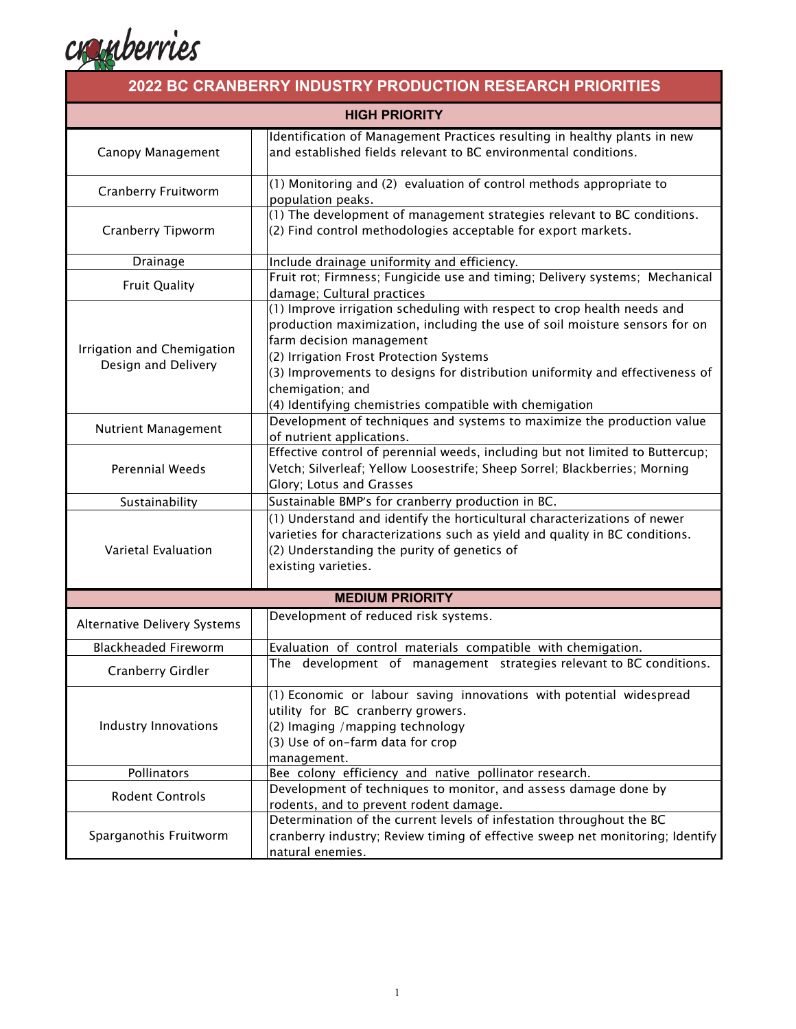

| <b>2022 BC CRANBERRY INDUSTRY PRODUCTION RESEARCH PRIORITIES</b> |                                                                                                                                                                                                                                                                                                                                                                                             |  |
|------------------------------------------------------------------|---------------------------------------------------------------------------------------------------------------------------------------------------------------------------------------------------------------------------------------------------------------------------------------------------------------------------------------------------------------------------------------------|--|
| <b>HIGH PRIORITY</b>                                             |                                                                                                                                                                                                                                                                                                                                                                                             |  |
| Canopy Management                                                | Identification of Management Practices resulting in healthy plants in new<br>and established fields relevant to BC environmental conditions.                                                                                                                                                                                                                                                |  |
| Cranberry Fruitworm                                              | (1) Monitoring and (2) evaluation of control methods appropriate to<br>population peaks.                                                                                                                                                                                                                                                                                                    |  |
| Cranberry Tipworm                                                | (1) The development of management strategies relevant to BC conditions.<br>(2) Find control methodologies acceptable for export markets.                                                                                                                                                                                                                                                    |  |
| Drainage                                                         | Include drainage uniformity and efficiency.                                                                                                                                                                                                                                                                                                                                                 |  |
| <b>Fruit Quality</b>                                             | Fruit rot; Firmness; Fungicide use and timing; Delivery systems; Mechanical<br>damage; Cultural practices                                                                                                                                                                                                                                                                                   |  |
| Irrigation and Chemigation<br>Design and Delivery                | (1) Improve irrigation scheduling with respect to crop health needs and<br>production maximization, including the use of soil moisture sensors for on<br>farm decision management<br>(2) Irrigation Frost Protection Systems<br>(3) Improvements to designs for distribution uniformity and effectiveness of<br>chemigation; and<br>(4) Identifying chemistries compatible with chemigation |  |
| Nutrient Management                                              | Development of techniques and systems to maximize the production value<br>of nutrient applications.                                                                                                                                                                                                                                                                                         |  |
| <b>Perennial Weeds</b>                                           | Effective control of perennial weeds, including but not limited to Buttercup;<br>Vetch; Silverleaf; Yellow Loosestrife; Sheep Sorrel; Blackberries; Morning<br>Glory; Lotus and Grasses                                                                                                                                                                                                     |  |
| Sustainability                                                   | Sustainable BMP's for cranberry production in BC.                                                                                                                                                                                                                                                                                                                                           |  |
| Varietal Evaluation                                              | (1) Understand and identify the horticultural characterizations of newer<br>varieties for characterizations such as yield and quality in BC conditions.<br>(2) Understanding the purity of genetics of<br>existing varieties.                                                                                                                                                               |  |
| <b>MEDIUM PRIORITY</b>                                           |                                                                                                                                                                                                                                                                                                                                                                                             |  |
| Alternative Delivery Systems                                     | Development of reduced risk systems.                                                                                                                                                                                                                                                                                                                                                        |  |
| <b>Blackheaded Fireworm</b>                                      | Evaluation of control materials compatible with chemigation.                                                                                                                                                                                                                                                                                                                                |  |
| Cranberry Girdler                                                | The development of management strategies relevant to BC conditions.                                                                                                                                                                                                                                                                                                                         |  |
| Industry Innovations                                             | (1) Economic or labour saving innovations with potential widespread<br>utility for BC cranberry growers.<br>(2) Imaging / mapping technology<br>(3) Use of on-farm data for crop<br>management.                                                                                                                                                                                             |  |
| Pollinators                                                      | Bee colony efficiency and native pollinator research.                                                                                                                                                                                                                                                                                                                                       |  |
| <b>Rodent Controls</b>                                           | Development of techniques to monitor, and assess damage done by<br>rodents, and to prevent rodent damage.                                                                                                                                                                                                                                                                                   |  |
| Sparganothis Fruitworm                                           | Determination of the current levels of infestation throughout the BC<br>cranberry industry; Review timing of effective sweep net monitoring; Identify<br>natural enemies.                                                                                                                                                                                                                   |  |